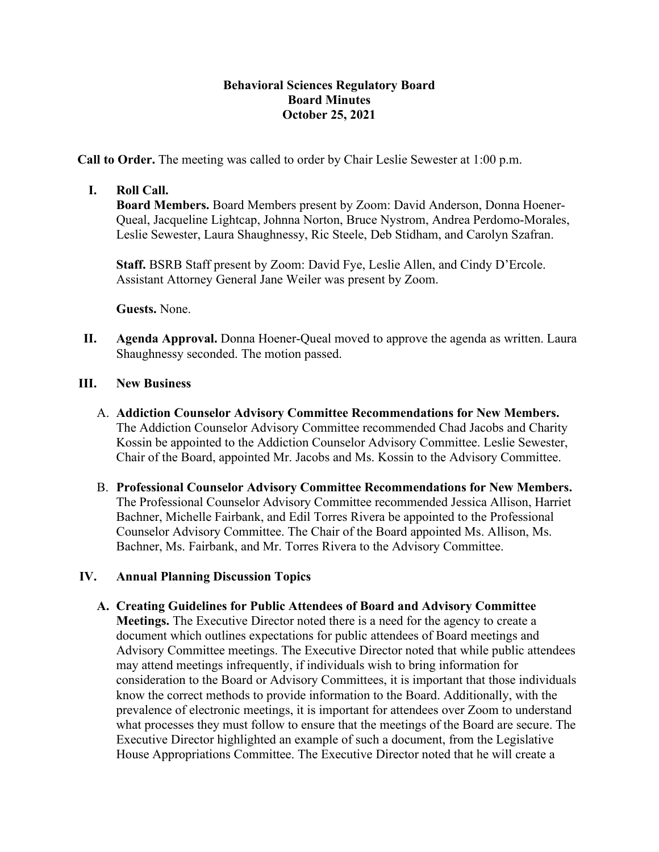## **Behavioral Sciences Regulatory Board Board Minutes October 25, 2021**

**Call to Order.** The meeting was called to order by Chair Leslie Sewester at 1:00 p.m.

## **I. Roll Call.**

**Board Members.** Board Members present by Zoom: David Anderson, Donna Hoener-Queal, Jacqueline Lightcap, Johnna Norton, Bruce Nystrom, Andrea Perdomo-Morales, Leslie Sewester, Laura Shaughnessy, Ric Steele, Deb Stidham, and Carolyn Szafran.

**Staff.** BSRB Staff present by Zoom: David Fye, Leslie Allen, and Cindy D'Ercole. Assistant Attorney General Jane Weiler was present by Zoom.

**Guests.** None.

**II. Agenda Approval.** Donna Hoener-Queal moved to approve the agenda as written. Laura Shaughnessy seconded. The motion passed.

## **III. New Business**

- A. **Addiction Counselor Advisory Committee Recommendations for New Members.** The Addiction Counselor Advisory Committee recommended Chad Jacobs and Charity Kossin be appointed to the Addiction Counselor Advisory Committee. Leslie Sewester, Chair of the Board, appointed Mr. Jacobs and Ms. Kossin to the Advisory Committee.
- B. **Professional Counselor Advisory Committee Recommendations for New Members.** The Professional Counselor Advisory Committee recommended Jessica Allison, Harriet Bachner, Michelle Fairbank, and Edil Torres Rivera be appointed to the Professional Counselor Advisory Committee. The Chair of the Board appointed Ms. Allison, Ms. Bachner, Ms. Fairbank, and Mr. Torres Rivera to the Advisory Committee.

## **IV. Annual Planning Discussion Topics**

**A. Creating Guidelines for Public Attendees of Board and Advisory Committee Meetings.** The Executive Director noted there is a need for the agency to create a document which outlines expectations for public attendees of Board meetings and Advisory Committee meetings. The Executive Director noted that while public attendees may attend meetings infrequently, if individuals wish to bring information for consideration to the Board or Advisory Committees, it is important that those individuals know the correct methods to provide information to the Board. Additionally, with the prevalence of electronic meetings, it is important for attendees over Zoom to understand what processes they must follow to ensure that the meetings of the Board are secure. The Executive Director highlighted an example of such a document, from the Legislative House Appropriations Committee. The Executive Director noted that he will create a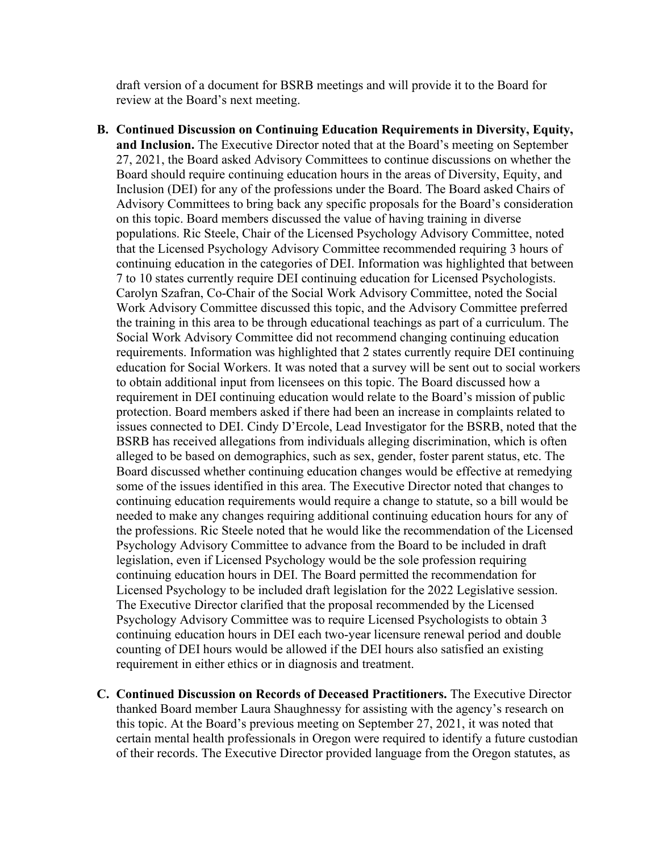draft version of a document for BSRB meetings and will provide it to the Board for review at the Board's next meeting.

- **B. Continued Discussion on Continuing Education Requirements in Diversity, Equity, and Inclusion.** The Executive Director noted that at the Board's meeting on September 27, 2021, the Board asked Advisory Committees to continue discussions on whether the Board should require continuing education hours in the areas of Diversity, Equity, and Inclusion (DEI) for any of the professions under the Board. The Board asked Chairs of Advisory Committees to bring back any specific proposals for the Board's consideration on this topic. Board members discussed the value of having training in diverse populations. Ric Steele, Chair of the Licensed Psychology Advisory Committee, noted that the Licensed Psychology Advisory Committee recommended requiring 3 hours of continuing education in the categories of DEI. Information was highlighted that between 7 to 10 states currently require DEI continuing education for Licensed Psychologists. Carolyn Szafran, Co-Chair of the Social Work Advisory Committee, noted the Social Work Advisory Committee discussed this topic, and the Advisory Committee preferred the training in this area to be through educational teachings as part of a curriculum. The Social Work Advisory Committee did not recommend changing continuing education requirements. Information was highlighted that 2 states currently require DEI continuing education for Social Workers. It was noted that a survey will be sent out to social workers to obtain additional input from licensees on this topic. The Board discussed how a requirement in DEI continuing education would relate to the Board's mission of public protection. Board members asked if there had been an increase in complaints related to issues connected to DEI. Cindy D'Ercole, Lead Investigator for the BSRB, noted that the BSRB has received allegations from individuals alleging discrimination, which is often alleged to be based on demographics, such as sex, gender, foster parent status, etc. The Board discussed whether continuing education changes would be effective at remedying some of the issues identified in this area. The Executive Director noted that changes to continuing education requirements would require a change to statute, so a bill would be needed to make any changes requiring additional continuing education hours for any of the professions. Ric Steele noted that he would like the recommendation of the Licensed Psychology Advisory Committee to advance from the Board to be included in draft legislation, even if Licensed Psychology would be the sole profession requiring continuing education hours in DEI. The Board permitted the recommendation for Licensed Psychology to be included draft legislation for the 2022 Legislative session. The Executive Director clarified that the proposal recommended by the Licensed Psychology Advisory Committee was to require Licensed Psychologists to obtain 3 continuing education hours in DEI each two-year licensure renewal period and double counting of DEI hours would be allowed if the DEI hours also satisfied an existing requirement in either ethics or in diagnosis and treatment.
- **C. Continued Discussion on Records of Deceased Practitioners.** The Executive Director thanked Board member Laura Shaughnessy for assisting with the agency's research on this topic. At the Board's previous meeting on September 27, 2021, it was noted that certain mental health professionals in Oregon were required to identify a future custodian of their records. The Executive Director provided language from the Oregon statutes, as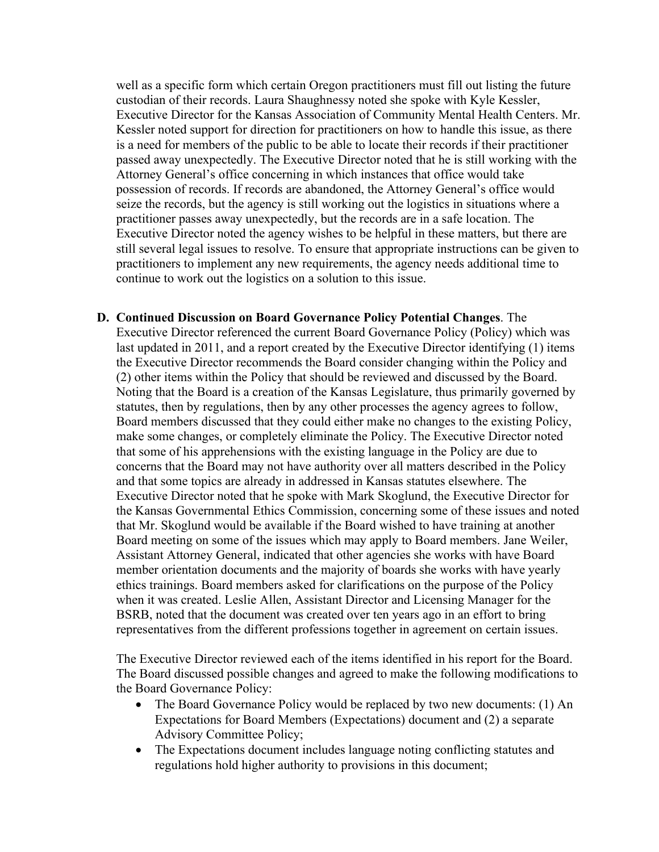well as a specific form which certain Oregon practitioners must fill out listing the future custodian of their records. Laura Shaughnessy noted she spoke with Kyle Kessler, Executive Director for the Kansas Association of Community Mental Health Centers. Mr. Kessler noted support for direction for practitioners on how to handle this issue, as there is a need for members of the public to be able to locate their records if their practitioner passed away unexpectedly. The Executive Director noted that he is still working with the Attorney General's office concerning in which instances that office would take possession of records. If records are abandoned, the Attorney General's office would seize the records, but the agency is still working out the logistics in situations where a practitioner passes away unexpectedly, but the records are in a safe location. The Executive Director noted the agency wishes to be helpful in these matters, but there are still several legal issues to resolve. To ensure that appropriate instructions can be given to practitioners to implement any new requirements, the agency needs additional time to continue to work out the logistics on a solution to this issue.

**D. Continued Discussion on Board Governance Policy Potential Changes**. The Executive Director referenced the current Board Governance Policy (Policy) which was last updated in 2011, and a report created by the Executive Director identifying (1) items the Executive Director recommends the Board consider changing within the Policy and (2) other items within the Policy that should be reviewed and discussed by the Board. Noting that the Board is a creation of the Kansas Legislature, thus primarily governed by statutes, then by regulations, then by any other processes the agency agrees to follow, Board members discussed that they could either make no changes to the existing Policy, make some changes, or completely eliminate the Policy. The Executive Director noted that some of his apprehensions with the existing language in the Policy are due to concerns that the Board may not have authority over all matters described in the Policy and that some topics are already in addressed in Kansas statutes elsewhere. The Executive Director noted that he spoke with Mark Skoglund, the Executive Director for the Kansas Governmental Ethics Commission, concerning some of these issues and noted that Mr. Skoglund would be available if the Board wished to have training at another Board meeting on some of the issues which may apply to Board members. Jane Weiler, Assistant Attorney General, indicated that other agencies she works with have Board member orientation documents and the majority of boards she works with have yearly ethics trainings. Board members asked for clarifications on the purpose of the Policy when it was created. Leslie Allen, Assistant Director and Licensing Manager for the BSRB, noted that the document was created over ten years ago in an effort to bring representatives from the different professions together in agreement on certain issues.

The Executive Director reviewed each of the items identified in his report for the Board. The Board discussed possible changes and agreed to make the following modifications to the Board Governance Policy:

- The Board Governance Policy would be replaced by two new documents: (1) An Expectations for Board Members (Expectations) document and (2) a separate Advisory Committee Policy;
- The Expectations document includes language noting conflicting statutes and regulations hold higher authority to provisions in this document;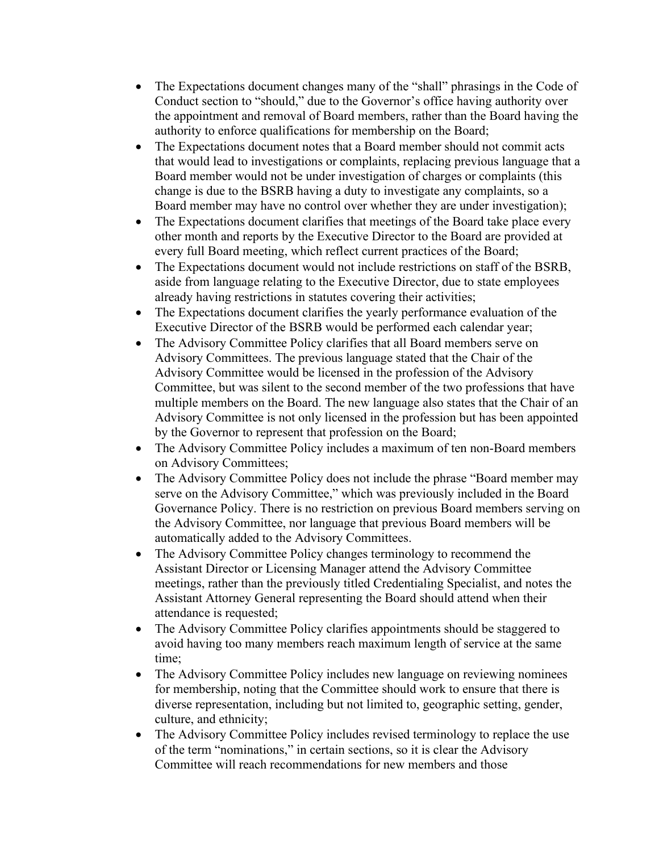- The Expectations document changes many of the "shall" phrasings in the Code of Conduct section to "should," due to the Governor's office having authority over the appointment and removal of Board members, rather than the Board having the authority to enforce qualifications for membership on the Board;
- The Expectations document notes that a Board member should not commit acts that would lead to investigations or complaints, replacing previous language that a Board member would not be under investigation of charges or complaints (this change is due to the BSRB having a duty to investigate any complaints, so a Board member may have no control over whether they are under investigation);
- The Expectations document clarifies that meetings of the Board take place every other month and reports by the Executive Director to the Board are provided at every full Board meeting, which reflect current practices of the Board;
- The Expectations document would not include restrictions on staff of the BSRB, aside from language relating to the Executive Director, due to state employees already having restrictions in statutes covering their activities;
- The Expectations document clarifies the yearly performance evaluation of the Executive Director of the BSRB would be performed each calendar year;
- The Advisory Committee Policy clarifies that all Board members serve on Advisory Committees. The previous language stated that the Chair of the Advisory Committee would be licensed in the profession of the Advisory Committee, but was silent to the second member of the two professions that have multiple members on the Board. The new language also states that the Chair of an Advisory Committee is not only licensed in the profession but has been appointed by the Governor to represent that profession on the Board;
- The Advisory Committee Policy includes a maximum of ten non-Board members on Advisory Committees;
- The Advisory Committee Policy does not include the phrase "Board member may serve on the Advisory Committee," which was previously included in the Board Governance Policy. There is no restriction on previous Board members serving on the Advisory Committee, nor language that previous Board members will be automatically added to the Advisory Committees.
- The Advisory Committee Policy changes terminology to recommend the Assistant Director or Licensing Manager attend the Advisory Committee meetings, rather than the previously titled Credentialing Specialist, and notes the Assistant Attorney General representing the Board should attend when their attendance is requested;
- The Advisory Committee Policy clarifies appointments should be staggered to avoid having too many members reach maximum length of service at the same time;
- The Advisory Committee Policy includes new language on reviewing nominees for membership, noting that the Committee should work to ensure that there is diverse representation, including but not limited to, geographic setting, gender, culture, and ethnicity;
- The Advisory Committee Policy includes revised terminology to replace the use of the term "nominations," in certain sections, so it is clear the Advisory Committee will reach recommendations for new members and those